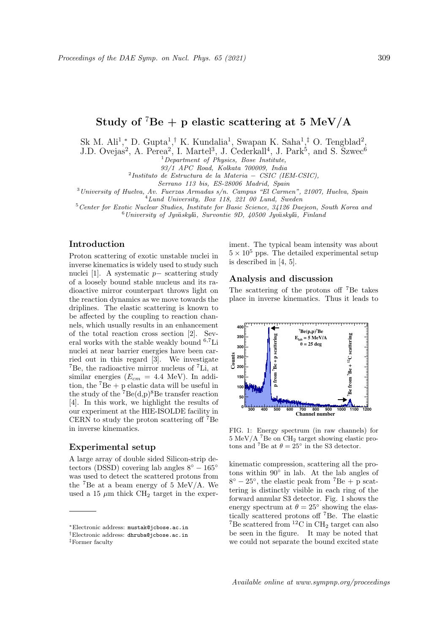# Study of <sup>7</sup>Be + p elastic scattering at 5 MeV/A

Sk M. Ali<sup>1</sup>,\* D. Gupta<sup>1</sup>,<sup>†</sup> K. Kundalia<sup>1</sup>, Swapan K. Saha<sup>1</sup>,<sup>‡</sup> O. Tengblad<sup>2</sup>,

J.D. Ovejas<sup>2</sup>, A. Perea<sup>2</sup>, I. Martel<sup>3</sup>, J. Cederkall<sup>4</sup>, J. Park<sup>5</sup>, and S. Szwec<sup>6</sup>

 $1$ Department of Physics, Bose Institute,

93/1 APC Road, Kolkata 700009, India

 $^{2}$ Instituto de Estructura de la Materia – CSIC (IEM-CSIC),

Serrano 113 bis, ES-28006 Madrid, Spain

 $3$ University of Huelva, Av. Fuerzas Armadas s/n. Campus "El Carmen", 21007, Huelva, Spain

<sup>4</sup>Lund University, Box 118, 221 00 Lund, Sweden

<sup>5</sup>Center for Exotic Nuclear Studies, Institute for Basic Science, 34126 Daejeon, South Korea and  $6$ University of Jyväskylä, Survontie 9D, 40500 Jyväskylä, Finland

### Introduction

Proton scattering of exotic unstable nuclei in inverse kinematics is widely used to study such nuclei [1]. A systematic p− scattering study of a loosely bound stable nucleus and its radioactive mirror counterpart throws light on the reaction dynamics as we move towards the driplines. The elastic scattering is known to be affected by the coupling to reaction channels, which usually results in an enhancement of the total reaction cross section [2]. Several works with the stable weakly bound <sup>6</sup>,7Li nuclei at near barrier energies have been carried out in this regard [3]. We investigate  ${}^{7}$ Be, the radioactive mirror nucleus of  ${}^{7}$ Li, at similar energies  $(E_{cm} = 4.4 \text{ MeV})$ . In addition, the  $^7Be + p$  elastic data will be useful in the study of the  $^7Be(d,p)^8Be$  transfer reaction [4]. In this work, we highlight the results of our experiment at the HIE-ISOLDE facility in CERN to study the proton scattering off <sup>7</sup>Be in inverse kinematics.

# Experimental setup

A large array of double sided Silicon-strip detectors (DSSD) covering lab angles  $8° - 165°$ was used to detect the scattered protons from the  ${}^{7}$ Be at a beam energy of 5 MeV/A. We used a 15  $\mu$ m thick CH<sub>2</sub> target in the experiment. The typical beam intensity was about  $5 \times 10^5$  pps. The detailed experimental setup is described in [4, 5].

#### Analysis and discussion

The scattering of the protons off <sup>7</sup>Be takes place in inverse kinematics. Thus it leads to



FIG. 1: Energy spectrum (in raw channels) for 5 MeV/A <sup>7</sup>Be on CH<sup>2</sup> target showing elastic protons and <sup>7</sup>Be at  $\theta = 25^{\circ}$  in the S3 detector.

kinematic compression, scattering all the protons within 90◦ in lab. At the lab angles of  $8^{\circ} - 25^{\circ}$ , the elastic peak from <sup>7</sup>Be + p scattering is distinctly visible in each ring of the forward annular S3 detector. Fig. 1 shows the energy spectrum at  $\theta = 25^{\circ}$  showing the elastically scattered protons off <sup>7</sup>Be. The elastic  ${}^{7}$ Be scattered from  ${}^{12}$ C in CH<sub>2</sub> target can also be seen in the figure. It may be noted that we could not separate the bound excited state

<sup>∗</sup>Electronic address: mustak@jcbose.ac.in

<sup>†</sup>Electronic address: dhruba@jcbose.ac.in

<sup>‡</sup>Former faculty